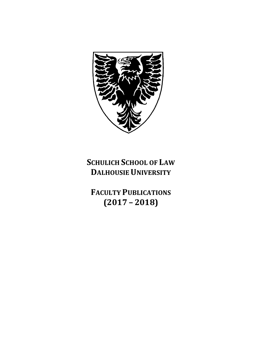

# **SCHULICH SCHOOL OF LAW DALHOUSIE UNIVERSITY**

**FACULTY PUBLICATIONS (2017 – 2018)**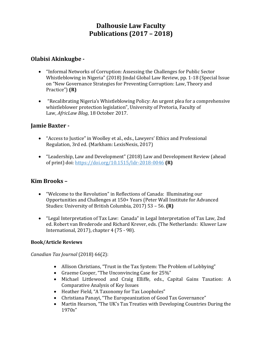# **Dalhousie Law Faculty Publications (2017 – 2018)**

#### **Olabisi Akinkugbe -**

- "Informal Networks of Corruption: Assessing the Challenges for Public Sector Whistleblowing in Nigeria" (2018) Jindal Global Law Review, pp. 1-18 (Special Issue on "New Governance Strategies for Preventing Corruption: Law, Theory and Practice") **(R)**
- "Recalibrating Nigeria's Whistleblowing Policy: An urgent plea for a comprehensive whistleblower protection legislation", University of Pretoria, Faculty of Law, *AfricLaw Blog*, 18 October 2017.

#### **Jamie Baxter -**

- "Access to Justice" in Woolley et al., eds., Lawyers' Ethics and Professional Regulation, 3rd ed. (Markham: LexisNexis, 2017)
- "Leadership, Law and Development" (2018) Law and Development Review (ahead of print) doi:<https://doi.org/10.1515/ldr-2018-0046> **(R)**

# **Kim Brooks –**

- "Welcome to the Revolution" in Reflections of Canada: Illuminating our Opportunities and Challenges at 150+ Years (Peter Wall Institute for Advanced Studies: University of British Columbia, 2017) 53 – 56. **(R)**
- "Legal Interpretation of Tax Law: Canada" in Legal Interpretation of Tax Law, 2nd ed. Robert van Brederode and Richard Krever, eds. (The Netherlands: Kluwer Law International, 2017), chapter 4 (75 - 98).

#### **Book/Article Reviews**

#### *Canadian Tax Journal* (2018) 66(2):

- Allison Christians, "Trust in the Tax System: The Problem of Lobbying"
- Graeme Cooper, "The Unconvincing Case for 25%"
- Michael Littlewood and Craig Elliffe, eds., Capital Gains Taxation: A Comparative Analysis of Key Issues
- Heather Field, "A Taxonomy for Tax Loopholes"
- Christiana Panayi, "The Europeanization of Good Tax Governance"
- Martin Hearson, "The UK's Tax Treaties with Developing Countries During the 1970s"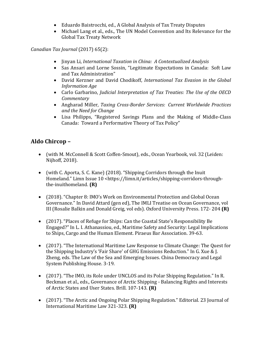- Eduardo Baistrocchi, ed., A Global Analysis of Tax Treaty Disputes
- Michael Lang et al., eds., The UN Model Convention and Its Relevance for the Global Tax Treaty Network

*Canadian Tax Journal* (2017) 65(2):

- Jinyan Li, *International Taxation in China: A Contextualized Analysis*
- Sas Ansari and Lorne Sossin, "Legitimate Expectations in Canada: Soft Law and Tax Administration"
- David Kerzner and David Chodikoff, *International Tax Evasion in the Global Information Age*
- Carlo Garbarino, *Judicial Interpretation of Tax Treaties: The Use of the OECD Commentary*
- Angharad Miller, *Taxing Cross-Border Services: Current Worldwide Practices and the Need for Change*
- Lisa Philipps, "Registered Savings Plans and the Making of Middle-Class Canada: Toward a Performative Theory of Tax Policy"

#### **Aldo Chircop –**

- (with M. McConnell & Scott Coffen-Smout), eds., Ocean Yearbook, vol. 32 (Leiden: Nijhoff, 2018).
- (with C. Aporta, S. C. Kane) (2018). "Shipping Corridors through the Inuit Homeland." Limn Issue 10 <https://limn.it/articles/shipping-corridors-throughthe-inuithomeland. **(R)**
- (2018). "Chapter 8: IMO's Work on Environmental Protection and Global Ocean Governance." In David Attard (gen ed), The IMLI Treatise on Ocean Governance, vol III (Rosalie Balkin and Donald Greig, vol eds). Oxford University Press. 172- 204 **(R)**
- (2017). "Places of Refuge for Ships: Can the Coastal State's Responsibility Be Engaged?" In L. I. Athanassiou, ed., Maritime Safety and Security: Legal Implications to Ships, Cargo and the Human Element. Piraeus Bar Association. 39-63.
- (2017). "The International Maritime Law Response to Climate Change: The Quest for the Shipping Industry's 'Fair Share' of GHG Emissions Reduction." In G. Xue & J. Zheng, eds. The Law of the Sea and Emerging Issues. China Democracy and Legal System Publishing House. 3-19.
- (2017). "The IMO, its Role under UNCLOS and its Polar Shipping Regulation." In R. Beckman et al., eds., Governance of Arctic Shipping - Balancing Rights and Interests of Arctic States and User States. Brill. 107-143. **(R)**
- (2017). "The Arctic and Ongoing Polar Shipping Regulation." Editorial. 23 Journal of International Maritime Law 321-323. **(R)**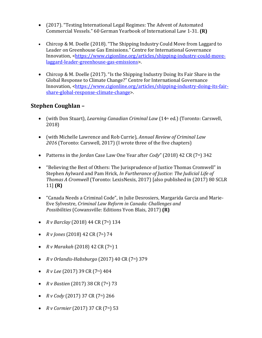- (2017). "Testing International Legal Regimes: The Advent of Automated Commercial Vessels." 60 German Yearbook of International Law 1-31. **(R)**
- Chircop & M. Doelle (2018). "The Shipping Industry Could Move from Laggard to Leader on Greenhouse Gas Emissions." Centre for International Governance Innovation, [<https://www.cigionline.org/articles/shipping-industry-could-move](https://www.cigionline.org/articles/shipping-industry-could-move-laggard-leader-greenhouse-gas-emissions)[laggard-leader-greenhouse-gas-emissions>](https://www.cigionline.org/articles/shipping-industry-could-move-laggard-leader-greenhouse-gas-emissions).
- Chircop & M. Doelle (2017). "Is the Shipping Industry Doing Its Fair Share in the Global Response to Climate Change?" Centre for International Governance Innovation, [<https://www.cigionline.org/articles/shipping-industry-doing-its-fair](https://www.cigionline.org/articles/shipping-industry-doing-its-fair-share-global-response-climate-change)[share-global-response-climate-change>](https://www.cigionline.org/articles/shipping-industry-doing-its-fair-share-global-response-climate-change).

#### **Stephen Coughlan –**

- (with Don Stuart), *Learning Canadian Criminal Law* (14<sup>th</sup> ed.) (Toronto: Carswell, 2018)
- (with Michelle Lawrence and Rob Currie), *Annual Review of Criminal Law 2016* (Toronto: Carswell, 2017) (I wrote three of the five chapters)
- Patterns in the *Jordan* Case Law One Year after *Cody*" (2018) 42 CR (7<sup>th</sup>) 342
- "Believing the Best of Others: The Jurisprudence of Justice Thomas Cromwell" in Stephen Aylward and Pam Hrick, *In Furtherance of Justice: The Judicial Life of Thomas A Cromwell* (Toronto: LexisNexis, 2017) [also published in (2017) 80 SCLR 11] **(R)**
- "Canada Needs a Criminal Code", in Julie Desrosiers, Margarida Garcia and Marie-Eve Sylvestre, *Criminal Law Reform in Canada: Challenges and Possibilities* (Cowansville: Editions Yvon Blais, 2017) **(R)**
- *R v Barclay* (2018) 44 CR ( $7<sup>th</sup>$ ) 134
- *R v Jones* (2018) 42 CR (7th) 74
- *R v Marakah* (2018) 42 CR (7th) 1
- *R v Orlandis-Habsburgo* (2017) 40 CR (7th) 379
- $R$  *v Lee* (2017) 39 CR (7<sup>th</sup>) 404
- *R v Bastien* (2017) 38 CR (7<sup>th</sup>) 73
- *R v Cody* (2017) 37 CR (7<sup>th</sup>) 266
- *R v Cormier* (2017) 37 CR (7<sup>th</sup>) 53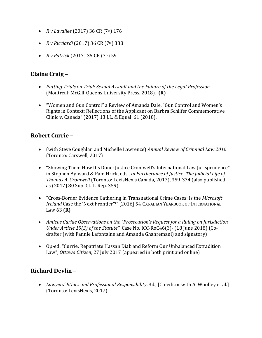- *R v Lavallee* (2017) 36 CR (7<sup>th</sup>) 176
- *R v Ricciardi* (2017) 36 CR (7<sup>th</sup>) 338
- *R v Patrick* (2017) 35 CR (7<sup>th</sup>) 59

#### **Elaine Craig –**

- *Putting Trials on Trial: Sexual Assault and the Failure of the Legal Profession*  (Montreal: McGill-Queens University Press, 2018). **(R)**
- "Women and Gun Control" a Review of Amanda Dale, "Gun Control and Women's Rights in Context: Reflections of the Applicant on Barbra Schlifer Commemorative Clinic v. Canada" (2017) 13 J.L. & Equal. 61 (2018).

# **Robert Currie –**

- (with Steve Coughlan and Michelle Lawrence) *Annual Review of Criminal Law 2016* (Toronto: Carswell, 2017)
- "Showing Them How It's Done: Justice Cromwell's International Law Jurisprudence" in Stephen Aylward & Pam Hrick, eds., *In Furtherance of Justice: The Judicial Life of Thomas A. Cromwell* (Toronto: LexisNexis Canada, 2017), 359-374 (also published as (2017) 80 Sup. Ct. L. Rep. 359)
- "Cross-Border Evidence Gathering in Transnational Crime Cases: Is the *Microsoft Ireland* Case the 'Next Frontier'?" [2016] 54 CANADIAN YEARBOOK OF INTERNATIONAL LAW 63 **(R)**
- *Amicus Curiae Observations on the "Prosecution's Request for a Ruling on Jurisdiction Under Article 19(3) of the Statute"*, Case No. ICC-RoC46(3)- (18 June 2018) (Codrafter (with Fannie Lafontaine and Amanda Ghahremani) and signatory)
- Op-ed: "Currie: Repatriate Hassan Diab and Reform Our Unbalanced Extradition Law", *Ottawa Citizen*, 27 July 2017 (appeared in both print and online)

# **Richard Devlin –**

• *Lawyers' Ethics and Professional Responsibility*, 3d., [Co-editor with A. Woolley et al.] (Toronto: LexisNexis, 2017).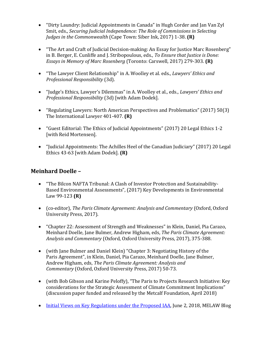- "Dirty Laundry: Judicial Appointments in Canada" in Hugh Corder and Jan Van Zyl Smit, eds., *Securing Judicial Independence: The Role of Commissions in Selecting Judges in the Commonwealth* (Cape Town: Siber Ink, 2017) 1-38. **(R)**
- "The Art and Craft of Judicial Decision-making: An Essay for Justice Marc Rosenberg" in B. Berger, E. Cunliffe and J. Stribopoulous, eds., *To Ensure that Justice is Done: Essays in Memory of Marc Rosenberg* (Toronto: Carswell, 2017) 279-303. **(R)**
- "The Lawyer Client Relationship" in A. Woolley et al. eds., *Lawyers' Ethics and Professional Responsibility* (3d).
- "Judge's Ethics, Lawyer's Dilemmas" in A. Woolley et al., eds., *Lawyers' Ethics and Professional Responsibility* (3d) [with Adam Dodek].
- "Regulating Lawyers: North American Perspectives and Problematics" (2017) 50(3) The International Lawyer 401-407. **(R)**
- "Guest Editorial: The Ethics of Judicial Appointments" (2017) 20 Legal Ethics 1-2 [with Reid Mortensen].
- "Judicial Appointments: The Achilles Heel of the Canadian Judiciary" (2017) 20 Legal Ethics 43-63 [with Adam Dodek]. **(R)**

#### **Meinhard Doelle –**

- "The Bilcon NAFTA Tribunal: A Clash of Investor Protection and Sustainability-Based Environmental Assessments", (2017) Key Developments in Environmental Law 99-123 **(R)**
- (co-editor), *The Paris Climate Agreement: Analysis and Commentary* (Oxford, Oxford University Press, 2017).
- "Chapter 22: Assessment of Strength and Weaknesses" in Klein, Daniel, Pia Carazo, Meinhard Doelle, Jane Bulmer, Andrew Higham, eds, *The Paris Climate Agreement: Analysis and Commentary* (Oxford, Oxford University Press, 2017), 375-388.
- (with Jane Bulmer and Daniel Klein) "Chapter 3: Negotiating History of the Paris Agreement", in Klein, Daniel, Pia Carazo, Meinhard Doelle, Jane Bulmer, Andrew Higham, eds, *The Paris Climate Agreement: Analysis and Commentary* (Oxford, Oxford University Press, 2017) 50-73.
- (with Bob Gibson and Karine Peloffy), "The Paris to Projects Research Initiative: Key considerations for the Strategic Assessment of Climate Commitment Implications" (discussion paper funded and released by the Metcalf Foundation, April 2018)
- [Initial Views on Key Regulations under the Proposed IAA,](https://blogs.dal.ca/melaw/wp-admin/post.php?post=481&action=edit) June 2, 2018, MELAW Blog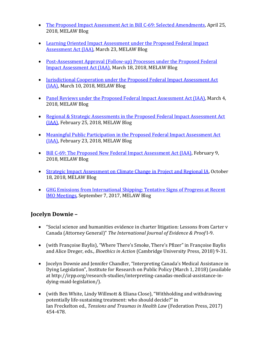- [The Proposed Impact Assessment Act in Bill C-69: Selected Amendments,](https://blogs.dal.ca/melaw/wp-admin/post.php?post=476&action=edit) April 25, 2018, MELAW Blog
- [Learning Oriented Impact Assessment under the Proposed Federal Impact](https://blogs.dal.ca/melaw/wp-admin/post.php?post=458&action=edit)  [Assessment Act \(IAA\),](https://blogs.dal.ca/melaw/wp-admin/post.php?post=458&action=edit) March 23, MELAW Blog
- Post-Assessment Approval (Follow-up) Processes under the Proposed Federal [Impact Assessment Act \(IAA\),](https://blogs.dal.ca/melaw/wp-admin/post.php?post=451&action=edit) March 18, 2018, MELAW Blog
- [Jurisdictional Cooperation under the Proposed Federal Impact Assessment Act](https://blogs.dal.ca/melaw/wp-admin/post.php?post=431&action=edit)  [\(IAA\),](https://blogs.dal.ca/melaw/wp-admin/post.php?post=431&action=edit) March 10, 2018, MELAW Blog
- [Panel Reviews under the Proposed Federal Impact Assessment Act \(IAA\),](https://blogs.dal.ca/melaw/wp-admin/post.php?post=417&action=edit) March 4, 2018, MELAW Blog
- Regional & Strategic Assessments in the Proposed Federal Impact Assessment Act [\(IAA\),](https://blogs.dal.ca/melaw/wp-admin/post.php?post=401&action=edit) February 25, 2018, MELAW Blog
- [Meaningful Public Participation in the Proposed Federal Impact Assessment Act](https://blogs.dal.ca/melaw/wp-admin/post.php?post=393&action=edit)  [\(IAA\),](https://blogs.dal.ca/melaw/wp-admin/post.php?post=393&action=edit) February 23, 2018, MELAW Blog
- [Bill C-69: The Proposed New Federal Impact Assessment Act \(IAA\),](https://blogs.dal.ca/melaw/wp-admin/post.php?post=375&action=edit) February 9, 2018, MELAW Blog
- [Strategic Impact Assessment on Climate Change in Project and Regional IA,](https://blogs.dal.ca/melaw/wp-admin/post.php?post=358&action=edit) October 18, 2018, MELAW Blog
- [GHG Emissions from International Shipping: Tentative Signs of Progress at Recent](https://blogs.dal.ca/melaw/wp-admin/post.php?post=345&action=edit)  [IMO Meetings,](https://blogs.dal.ca/melaw/wp-admin/post.php?post=345&action=edit) September 7, 2017, MELAW Blog

# **Jocelyn Downie –**

- "Social science and humanities evidence in charter litigation: Lessons from Carter v Canada (Attorney General)" *The International Journal of Evidence & Proof* I-9.
- (with Françoise Baylis), "Where There's Smoke, There's Pfizer" in Françoise Baylis and Alice Dreger, eds., *Bioethics in Action* (Cambridge University Press, 2018) 9-31.
- Jocelyn Downie and Jennifer Chandler, "Interpreting Canada's Medical Assistance in Dying Legislation", Institute for Research on Public Policy (March 1, 2018) (available at [http://irpp.org/research-studies/interpreting-canadas-medical-assistance-in](http://irpp.org/research-studies/interpreting-canadas-medical-assistance-in-dying-maid-legislation/)[dying-maid-legislation/\)](http://irpp.org/research-studies/interpreting-canadas-medical-assistance-in-dying-maid-legislation/).
- (with Ben White, Lindy Willmott & Eliana Close), "Withholding and withdrawing potentially life-sustaining treatment: who should decide?" in Ian Freckelton ed., *Tensions and Traumas in Health Law* (Federation Press, 2017) 454-478.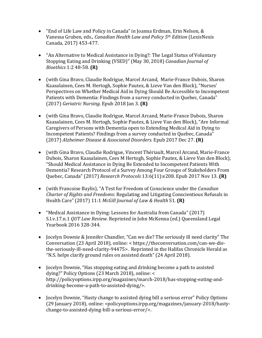- "End of Life Law and Policy in Canada" in Joanna Erdman, Erin Nelson, & Vanessa Gruben, eds., *Canadian Health Law and Policy 5th Edition* (LexisNexis Canada, 2017) 453-477.
- "An Alternative to Medical Assistance in Dying?: The Legal Status of Voluntary Stopping Eating and Drinking (VSED)" (May 30, 2018) *Canadian Journal of Bioethics* 1:2 48-58. **(R)**
- (with Gina Bravo, [Claudie Rodrigue,](http://www.pubpdf.com/search/author/Claudie+Rodrigue) [Marcel Arcand,](http://www.pubpdf.com/search/author/Marcel+Arcand) [Marie-France Dubois,](http://www.pubpdf.com/search/author/Marie-France+Dubois) [Sharon](http://www.pubpdf.com/search/author/Sharon+Kaasalainen)  [Kaasalainen,](http://www.pubpdf.com/search/author/Sharon+Kaasalainen) [Cees M. Hertogh,](http://www.pubpdf.com/search/author/Cees+M+Hertogh) [Sophie Pautex,](http://www.pubpdf.com/search/author/Sophie+Pautex) & Lieve Van den Block), "Nurses' Perspectives on Whether Medical Aid in Dying Should Be Accessible to Incompetent Patients with Dementia: Findings from a survey conducted in Quebec, Canada" (2017) *Geriatric Nursing.* Epub 2018 Jan 3. **(R)**
- (with Gina Bravo, [Claudie Rodrigue,](http://www.pubpdf.com/search/author/Claudie+Rodrigue) [Marcel Arcand,](http://www.pubpdf.com/search/author/Marcel+Arcand) [Marie-France Dubois,](http://www.pubpdf.com/search/author/Marie-France+Dubois) [Sharon](http://www.pubpdf.com/search/author/Sharon+Kaasalainen)  [Kaasalainen,](http://www.pubpdf.com/search/author/Sharon+Kaasalainen) [Cees M. Hertogh,](http://www.pubpdf.com/search/author/Cees+M+Hertogh) [Sophie Pautex,](http://www.pubpdf.com/search/author/Sophie+Pautex) & [Lieve Van den Block\)](http://www.pubpdf.com/search/author/Lieve+Van%20den%20Block), "Are Informal Caregivers of Persons with Dementia open to Extending Medical Aid in Dying to Incompetent Patients? Findings from a survey conducted in Quebec, Canada" (2017) *Alzheimer Disease & Associated Disorders.* Epub 2017 Dec 27. **(R)**
- (with Gina Bravo, Claudie Rodrigue, Vincent Thériault, Marcel Arcand, Marie-France Dubois, Sharon Kaasalainen, Cees M Hertogh, Sophie Pautex, & Lieve Van den Block), "[Should Medical Assistance in Dying Be Extended to Incompetent Patients With](http://www.researchprotocols.org/2017/11/e208)  [Dementia? Research Protocol of a Survey Among Four Groups of Stakeholders From](http://www.researchprotocols.org/2017/11/e208)  [Quebec, Canada](http://www.researchprotocols.org/2017/11/e208)" (2017) *Research Protocols* 13:6(11):e208. Epub 2017 Nov 13. **(R)**
- (with Francoise Baylis), "A Test for Freedom of Conscience under the *Canadian Charter of Rights and Freedoms*: Regulating and Litigating Conscientious Refusals in Health Care" (2017) 11:1 *McGill Journal of Law & Health* S1. **(R)**
- "Medical Assistance in Dying: Lessons for Australia from Canada" (2017) S.I.v.17.n.1 *QUT Law Review.* Reprinted in John McKenna (ed.) Queensland Legal Yearbook 2016 328-344.
- Jocelyn Downie & Jennifer Chandler, "Can we die? The seriously ill need clarity" The Conversation (23 April 2018), online: < [https://theconversation.com/can-we-die](https://theconversation.com/can-we-die-the-seriously-ill-need-clarity-94475)[the-seriously-ill-need-clarity-94475>](https://theconversation.com/can-we-die-the-seriously-ill-need-clarity-94475). Reprinted in the Halifax Chronicle Herald as "N.S. helps clarify ground rules on assisted death" (24 April 2018).
- Jocelyn Downie, "Has stopping eating and drinking become a path to assisted dying?" Policy Options (23 March 2018), online: < http://policyoptions.irpp.org/magazines/march-2018/has-stopping-eating-anddrinking-become-a-path-to-assisted-dying/>.
- Jocelyn Downie, "Hasty change to assisted dying bill a serious error" Policy Options (29 January 2018), online: <policyoptions.irpp.org/magazines/january-2018/hastychange-to-assisted-dying-bill-a-serious-error/>.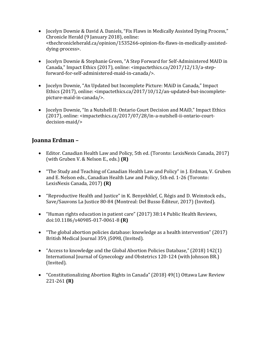- Jocelyn Downie & David A. Daniels, "Fix Flaws in Medically Assisted Dying Process," Chronicle Herald (9 January 2018), online: <thechronicleherald.ca/opinion/1535266-opinion-fix-flaws-in-medically-assisteddying-process>.
- Jocelyn Downie & Stephanie Green, "A Step Forward for Self-Administered MAID in Canada," Impact Ethics (2017), online: <impactethics.ca/2017/12/13/a-stepforward-for-self-administered-maid-in-canada/>.
- Jocelyn Downie, "An Updated but Incomplete Picture: MAiD in Canada," Impact Ethics (2017), online: <impactethics.ca/2017/10/12/an-updated-but-incompletepicture-maid-in-canada/>.
- Jocelyn Downie, "In a Nutshell II: Ontario Court Decision and MAiD," Impact Ethics (2017), online: <impactethics.ca/2017/07/28/in-a-nutshell-ii-ontario-courtdecision-maid/>

#### **Joanna Erdman –**

- Editor. Canadian Health Law and Policy, 5th ed. (Toronto: LexisNexis Canada, 2017) (with Gruben V. & Nelson E., eds.) **(R)**
- "The Study and Teaching of Canadian Health Law and Policy" in J. Erdman, V. Gruben and E. Nelson eds., Canadian Health Law and Policy, 5th ed. 1-26 (Toronto: LexisNexis Canada, 2017) **(R)**
- "Reproductive Health and Justice" in K. Benyekhlef, C. Régis and D. Weinstock eds., Save/Sauvons La Justice 80-84 (Montreal: Del Busso Éditeur, 2017) (Invited).
- "Human rights education in patient care" (2017) 38:14 Public Health Reviews, doi:10.1186/s40985-017-0061-8 **(R)**
- "The global abortion policies database: knowledge as a health intervention" (2017) British Medical Journal 359, j5098, (Invited).
- "Access to knowledge and the Global Abortion Policies Database," (2018) 142(1) International Journal of Gynecology and Obstetrics 120-124 (with Johnson BR.) (Invited).
- "Constitutionalizing Abortion Rights in Canada" (2018) 49(1) Ottawa Law Review 221-261 **(R)**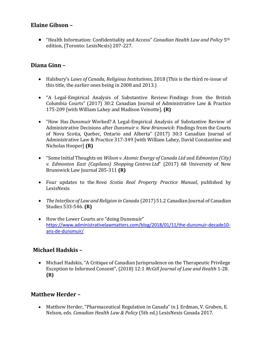#### **Elaine Gibson –**

• "Health Information: Confidentiality and Access" *Canadian Health Law and Policy* 5th edition, (Toronto: LexisNexis) 207-227.

# **Diana Ginn –**

- Halsbury's *Laws of Canada, Religious Institutions*, 2018 (This is the third re-issue of this title, the earlier ones being in 2008 and 2013.)
- "A Legal-Empirical Analysis of Substantive Review: Findings from the British Columbia Courts" (2017) 30:2 Canadian Journal of Administrative Law & Practice 175-209 [with William Lahey and Madison Veinotte]. **(R)**
- "How Has *Dunsmuir* Worked? A Legal-Empirical Analysis of Substantive Review of Administrative Decisions after *Dunsmuir v. New Brunswick*: Findings from the Courts of Nova Scotia, Quebec, Ontario and Alberta" (2017) 30:3 Canadian Journal of Administrative Law & Practice 317-349 [with William Lahey, David Constantine and Nicholas Hooper] **(R)**
- "Some Initial Thoughts on *Wilson v. Atomic Energy of Canada Ltd* and *Edmonton (City) v. Edmonton East (Capilano) Shopping Centres Ltd*" (2017) 68 University of New Brunswick Law Journal 285-311 **(R)**
- Four updates to the *Nova Scotia Real Property Practice Manual*, published by LexisNexis
- *The Interface of Law and Religion in Canada* (2017) 51.2 Canadian Journal of Canadian Studies 533-546. **(R)**
- How the Lower Courts are "doing Dunsmuir" [https://www.administrativelawmatters.com/blog/2018/01/11/the-dunsmuir-decade10](https://www.administrativelawmatters.com/blog/2018/01/11/the-dunsmuir-decade10-ans-de-dunsmuir/) [ans-de-dunsmuir/](https://www.administrativelawmatters.com/blog/2018/01/11/the-dunsmuir-decade10-ans-de-dunsmuir/)

# **Michael Hadskis –**

• Michael Hadskis, "A Critique of Canadian Jurisprudence on the Therapeutic Privilege Exception to Informed Consent", (2018) 12:1 *McGill Journal of Law and Health* 1-28. **(R)**

# **Matthew Herder –**

• Matthew Herder, "Pharmaceutical Regulation in Canada" in J. Erdman, V. Gruben, E. Nelson, eds. *Canadian Health Law & Policy* (5th ed.) LexisNexis Canada 2017.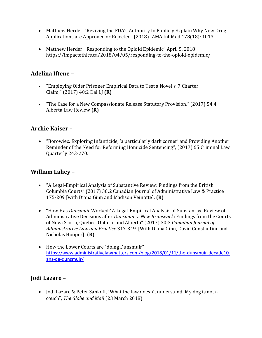- Matthew Herder, "Reviving the FDA's Authority to Publicly Explain Why New Drug Applications are Approved or Rejected" (2018) JAMA Int Med 178(18): 1013.
- Matthew Herder, "Responding to the Opioid Epidemic" April 5, 2018 <https://impactethics.ca/2018/04/05/responding-to-the-opioid-epidemic/>

# **Adelina Iftene –**

- "Employing Older Prisoner Empirical Data to Test a Novel s. 7 Charter Claim," (2017) 40:2 Dal LJ **(R)**
- "The Case for a New Compassionate Release Statutory Provision," (2017) 54:4 Alberta Law Review **(R)**

# **Archie Kaiser –**

• "Borowiec: Exploring Infanticide, 'a particularly dark corner' and Providing Another Reminder of the Need for Reforming Homicide Sentencing", (2017) 65 Criminal Law Quarterly 243-270.

# **William Lahey –**

- "A Legal-Empirical Analysis of Substantive Review: Findings from the British Columbia Courts" (2017) 30:2 Canadian Journal of Administrative Law & Practice 175-209 [with Diana Ginn and Madison Veinotte]. **(R)**
- "How Has *Dunsmuir* Worked? A Legal-Empirical Analysis of Substantive Review of Administrative Decisions after *Dunsmuir v. New Brunswick*: Findings from the Courts of Nova Scotia, Quebec, Ontario and Alberta" (2017) 30:3 *Canadian Journal of Administrative Law and Practice* 317-349. [With Diana Ginn, David Constantine and Nicholas Hooper]<sup>1</sup> **(R)**
- How the Lower Courts are "doing Dunsmuir" [https://www.administrativelawmatters.com/blog/2018/01/11/the-dunsmuir-decade10](https://www.administrativelawmatters.com/blog/2018/01/11/the-dunsmuir-decade10-ans-de-dunsmuir/) [ans-de-dunsmuir/](https://www.administrativelawmatters.com/blog/2018/01/11/the-dunsmuir-decade10-ans-de-dunsmuir/)

# **Jodi Lazare –**

• Jodi Lazare & Peter Sankoff, "What the law doesn't understand: My dog is not a couch", *The Globe and Mail* (23 March 2018)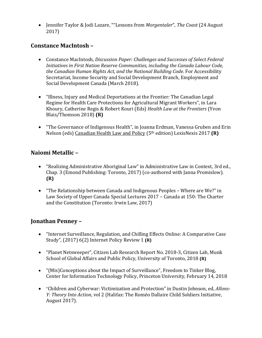• Jennifer Taylor & Jodi Lazare, ""Lessons from *Morgentaler*", *The Coast* (24 August 2017)

#### **Constance MacIntosh –**

- Constance MacIntosh, *Discussion Paper: Challenges and Successes of Select Federal Initiatives in First Nation Reserve Communities, including the Canada Labour Code, the Canadian Human Rights Act, and the National Building Code.* For Accessibility Secretariat, Income Security and Social Development Branch, Employment and Social Development Canada (March 2018).
- "Illness, Injury and Medical Deportations at the Frontier: The Canadian Legal Regime for Health Care Protections for Agricultural Migrant Workers", in Lara Khoury, Catherine Regis & Robert Kouri (Eds) *Health Law at the Frontiers* (Yvon Blais/Thomson 2018) **(R)**
- "The Governance of Indigenous Health", in Joanna Erdman, Vanessa Gruben and Erin Nelson (eds) Canadian Health Law and Policy (5th edition) LexisNexis 2017 **(R)**

#### **Naiomi Metallic –**

- "Realizing Administrative Aboriginal Law" in Administrative Law in Context, 3rd ed., Chap. 3 (Emond Publishing: Toronto, 2017) (co-authored with Janna Promislow). **(R)**
- "The Relationship between Canada and Indigenous Peoples Where are We?" in Law Society of Upper Canada Special Lectures 2017 – Canada at 150: The Charter and the Constitution (Toronto: Irwin Law, 2017)

#### **Jonathan Penney –**

- "Internet Surveillance, Regulation, and Chilling Effects Online: A Comparative Case Study", (2017) 6(2) Internet Policy Review 1 **(R)**
- "Planet Netsweeper", Citizen Lab Research Report No. 2018-3, Citizen Lab, Munk School of Global Affairs and Public Policy, University of Toronto, 2018 **(R)**
- "(Mis)Conceptions about the Impact of Surveillance", Freedom to Tinker Blog, Center for Information Technology Policy, Princeton University, February 14, 2018
- "Children and Cyberwar: Victimization and Protection" in Dustin Johnson, ed, *Allons-Y: Theory Into Action*, vol 2 (Halifax: The Roméo Dallaire Child Soldiers Initiative, August 2017).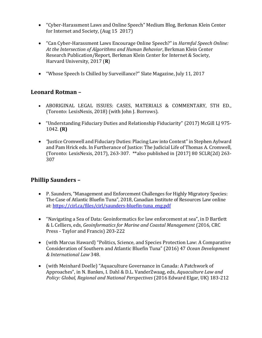- "Cyber-Harassment Laws and Online Speech" Medium Blog, Berkman Klein Center for Internet and Society, (Aug 15 2017)
- "Can Cyber-Harassment Laws Encourage Online Speech?" in *Harmful Speech Online: At the Intersection of Algorithms and Human Behavior*, Berkman Klein Center Research Publication/Report, Berkman Klein Center for Internet & Society, Harvard University, 2017 (**R**)
- "Whose Speech Is Chilled by Surveillance?" Slate Magazine, July 11, 2017

#### **Leonard Rotman –**

- ABORIGINAL LEGAL ISSUES: CASES, MATERIALS & COMMENTARY, 5TH ED., (Toronto: LexisNexis, 2018) (with John J. Borrows).
- "Understanding Fiduciary Duties and Relationship Fiduciarity" (2017) McGill LJ 975- 1042. **(R)**
- *"*Justice Cromwell and Fiduciary Duties: Placing Law into Context" in Stephen Aylward and Pam Hrick eds. In Furtherance of Justice: The Judicial Life of Thomas A. Cromwell, (Toronto: LexisNexis, 2017), 263-307. \*\*also published in [2017] 80 SCLR(2d) 263- 307

# **Phillip Saunders –**

- P. Saunders, "Management and Enforcement Challenges for Highly Migratory Species: The Case of Atlantic Bluefin Tuna", 2018, Canadian Institute of Resources Law online at: [https://cirl.ca/files/cirl/saunders-bluefin-tuna\\_eng.pdf](https://cirl.ca/files/cirl/saunders-bluefin-tuna_eng.pdf)
- "Navigating a Sea of Data: Geoinformatics for law enforcement at sea", in D Bartlett & L Celliers, eds, *Geoinformatics for Marine and Coastal Management* (2016, CRC Press - Taylor and Francis) 203-222
- (with Marcus Haward) "Politics, Science, and Species Protection Law: A Comparative Consideration of Southern and Atlantic Bluefin Tuna" (2016) 47 *Ocean Development & International Law* 348.
- (with Meinhard Doelle) "Aquaculture Governance in Canada: A Patchwork of Approaches", in N. Bankes, I. Dahl & D.L. VanderZwaag, eds, *Aquaculture Law and Policy: Global, Regional and National Perspectives* (2016 Edward Elgar, UK) 183-212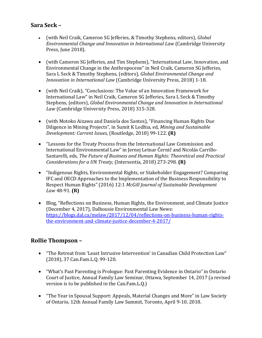#### **Sara Seck –**

- (with Neil Craik, Cameron SG Jefferies, & Timothy Stephens, editors), *Global Environmental Change and Innovation in International Law* (Cambridge University Press, June 2018).
- (with Cameron SG Jefferies, and Tim Stephens), "International Law, Innovation, and Environmental Change in the Anthropocene" in Neil Craik, Cameron SG Jefferies, Sara L Seck & Timothy Stephens, (editors), *Global Environmental Change and Innovation in International Law* (Cambridge University Press, 2018) 1-18.
- (with Neil Craik), "Conclusions: The Value of an Innovation Framework for International Law" in Neil Craik, Cameron SG Jefferies, Sara L Seck & Timothy Stephens, (editors), *Global Environmental Change and Innovation in International Law* (Cambridge University Press, 2018) 315-328.
- (with Motoko Aizawa and Daniela dos Santos), "Financing Human Rights Due Diligence in Mining Projects", in Sumit K Lodhia, ed, *Mining and Sustainable Development: Current Issues*, (Routledge, 2018) 99-122. **(R)**
- "Lessons for the Treaty Process from the International Law Commission and International Environmental Law" in Jernej Letnar Černičand Nicolás Carrillo-Santarelli, eds, *The Future of Business and Human Rights: Theoretical and Practical Considerations for a UN Treaty,* (Intersentia, 2018) 273-298. **(R)**
- "Indigenous Rights, Environmental Rights, or Stakeholder Engagement? Comparing IFC and OECD Approaches to the Implementation of the Business Responsibility to Respect Human Rights" (2016) 12:1 *McGill Journal of Sustainable Development Law* 48-91. **(R)**
- Blog, "Reflections on Business, Human Rights, the Environment, and Climate Justice (December 4, 2017), Dalhousie Environmental Law News: [https://blogs.dal.ca/melaw/2017/12/04/reflections-on-business-human-rights](https://blogs.dal.ca/melaw/2017/12/04/reflections-on-business-human-rights-the-environment-and-climate-justice-december-4-2017/)[the-environment-and-climate-justice-december-4-2017/](https://blogs.dal.ca/melaw/2017/12/04/reflections-on-business-human-rights-the-environment-and-climate-justice-december-4-2017/)

#### **Rollie Thompson –**

- "The Retreat from 'Least Intrusive Intervention' in Canadian Child Protection Law" (2018), 37 Can.Fam.L.Q. 99-120.
- "What's Past Parenting is Prologue: Past Parenting Evidence in Ontario" in Ontario Court of Justice, Annual Family Law Seminar, Ottawa, September 14, 2017 (a revised version is to be published in the Can.Fam.L.Q.)
- "The Year in Spousal Support: Appeals, Material Changes and More" in Law Society of Ontario, 12th Annual Family Law Summit, Toronto, April 9-10, 2018.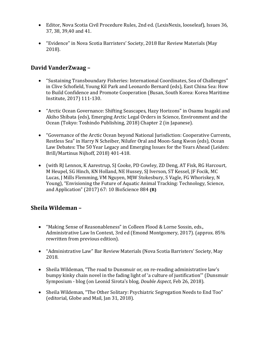- Editor, Nova Scotia Civil Procedure Rules, 2nd ed. (LexisNexis, looseleaf), Issues 36, 37, 38, 39,40 and 41.
- "Evidence" in Nova Scotia Barristers' Society, 2018 Bar Review Materials (May 2018).

# **David VanderZwaag –**

- "Sustaining Transboundary Fisheries: International Coordinates, Sea of Challenges" in Clive Schofield, Young Kil Park and Leonardo Bernard (eds), East China Sea: How to Build Confidence and Promote Cooperation (Busan, South Korea: Korea Maritime Institute, 2017) 111-130.
- "Arctic Ocean Governance: Shifting Seascapes, Hazy Horizons" in Osamu Inagaki and Akiho Shibata (eds), Emerging Arctic Legal Orders in Science, Environment and the Ocean (Tokyo: Toshindo Publishing, 2018) Chapter 2 (in Japanese).
- "Governance of the Arctic Ocean beyond National Jurisdiction: Cooperative Currents, Restless Sea" in Harry N Scheiber, Nilufer Oral and Moon-Sang Kwon (eds), Ocean Law Debates: The 50 Year Legacy and Emerging Issues for the Years Ahead (Leiden: Brill/Martinus Nijhoff, 2018) 401-418.
- (with RJ Lennox, K Aarestrup, SJ Cooke, PD Cowley, ZD Deng, AT Fisk, RG Harcourt, M Heupel, SG Hinch, KN Holland, NE Hussey, SJ Iverson, ST Kessel, JF Focik, MC Lucas, J Mills Flemming, VM Nguyen, MJW Stokesbury, S Vagle, FG Whoriskey, N Young), "Envisioning the Future of Aquatic Animal Tracking: Technology, Science, and Application" (2017) 67: 10 BioScience 884 **(R)**

#### **Sheila Wildeman –**

- "Making Sense of Reasonableness" in Colleen Flood & Lorne Sossin, eds., Administrative Law In Context, 3rd ed (Emond Montgomery, 2017). (approx. 85% rewritten from previous edition).
- "Administrative Law" Bar Review Materials (Nova Scotia Barristers' Society, May 2018.
- Sheila Wildeman, "The road to Dunsmuir or, on re-reading administrative law's bumpy kinky chain novel in the fading light of 'a culture of justification'" (Dunsmuir Symposium - blog (on Leonid Sirota's blog, *Double Aspect*, Feb 26, 2018).
- Sheila Wildeman, "The Other Solitary: Psychiatric Segregation Needs to End Too" (editorial, Globe and Mail, Jan 31, 2018).